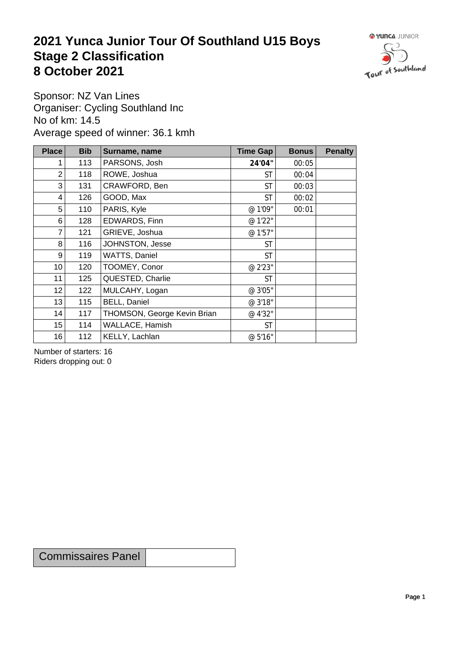## **2021 Yunca Junior Tour Of Southland U15 Boys** Stage 2 Classification<br>8 October 2021 **8 October 2021**



Sponsor: NZ Van Lines Organiser: Cycling Southland Inc No of km: 14.5 Average speed of winner: 36.1 kmh

| <b>Place</b>    | <b>Bib</b> | Surname, name               | <b>Time Gap</b> | <b>Bonus</b> | <b>Penalty</b> |
|-----------------|------------|-----------------------------|-----------------|--------------|----------------|
|                 | 113        | PARSONS, Josh               | 24'04"          | 00:05        |                |
| $\overline{2}$  | 118        | ROWE, Joshua                | <b>ST</b>       | 00:04        |                |
| 3               | 131        | CRAWFORD, Ben               | <b>ST</b>       | 00:03        |                |
| 4               | 126        | GOOD, Max                   | <b>ST</b>       | 00:02        |                |
| 5               | 110        | PARIS, Kyle                 | @ 1'09"         | 00:01        |                |
| 6               | 128        | EDWARDS, Finn               | @ 1'22"         |              |                |
| 7               | 121        | GRIEVE, Joshua              | @ 1'57"         |              |                |
| 8               | 116        | JOHNSTON, Jesse             | <b>ST</b>       |              |                |
| 9               | 119        | WATTS, Daniel               | <b>ST</b>       |              |                |
| 10 <sup>1</sup> | 120        | TOOMEY, Conor               | @ 2'23"         |              |                |
| 11              | 125        | QUESTED, Charlie            | <b>ST</b>       |              |                |
| 12              | 122        | MULCAHY, Logan              | @ 3'05"         |              |                |
| 13              | 115        | BELL, Daniel                | @ 3'18"         |              |                |
| 14              | 117        | THOMSON, George Kevin Brian | @ 4'32"         |              |                |
| 15              | 114        | WALLACE, Hamish             | <b>ST</b>       |              |                |
| 16              | 112        | KELLY, Lachlan              | @ 5'16"         |              |                |

Number of starters: 16 Riders dropping out: 0

Commissaires Panel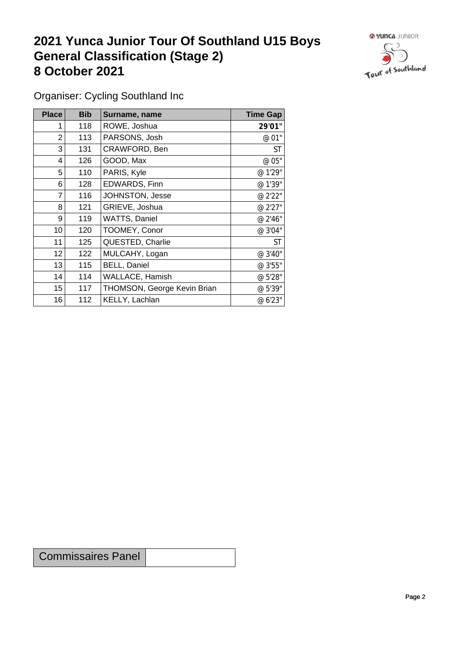## **2021 Yunca Junior Tour Of Southland U15 Boys General Classification (Stage 2)**<br> **8 October 2021 8 October 2021**



Organiser: Cycling Southland Inc

| Place            | <b>Bib</b> | Surname, name               | <b>Time Gap</b> |
|------------------|------------|-----------------------------|-----------------|
|                  | 118        | ROWE, Joshua                | 29'01"          |
| 2                | 113        | PARSONS, Josh               | @ 01"           |
| 3                | 131        | CRAWFORD, Ben               | <b>ST</b>       |
| 4                | 126        | GOOD, Max                   | @ 05"           |
| 5                | 110        | PARIS, Kyle                 | @ 1'29"         |
| 6                | 128        | EDWARDS, Finn               | @ 1'39"         |
| $\overline{7}$   | 116        | JOHNSTON, Jesse             | @ 2'22"         |
| 8                | 121        | GRIEVE, Joshua              | @ 2'27"         |
| 9                | 119        | WATTS, Daniel               | @ 2'46"         |
| 10 <sup>°</sup>  | 120        | TOOMEY, Conor               | @ 3'04"         |
| 11               | 125        | QUESTED, Charlie            | <b>ST</b>       |
| 12               | 122        | MULCAHY, Logan              | @ 3'40"         |
| 13               | 115        | <b>BELL, Daniel</b>         | @ 3'55"         |
| 14               | 114        | WALLACE, Hamish             | @ 5'28"         |
| 15 <sub>15</sub> | 117        | THOMSON, George Kevin Brian | @ 5'39"         |
| 16               | 112        | KELLY, Lachlan              | @ 6'23"         |

Commissaires Panel